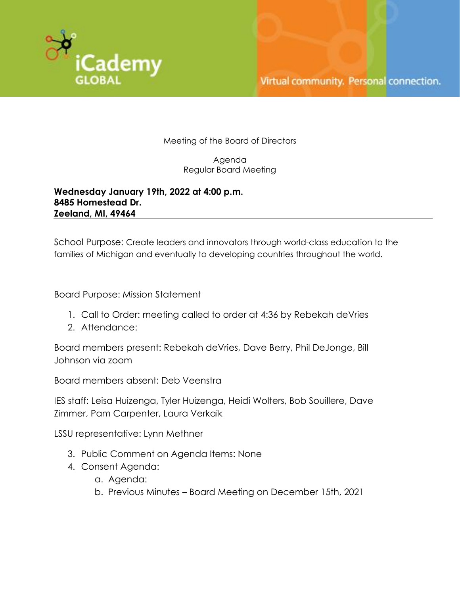

Meeting of the Board of Directors

Agenda Regular Board Meeting

**Wednesday January 19th, 2022 at 4:00 p.m. 8485 Homestead Dr. Zeeland, MI, 49464**

School Purpose: Create leaders and innovators through world-class education to the families of Michigan and eventually to developing countries throughout the world.

Board Purpose: Mission Statement

- 1. Call to Order: meeting called to order at 4:36 by Rebekah deVries
- 2. Attendance:

Board members present: Rebekah deVries, Dave Berry, Phil DeJonge, Bill Johnson via zoom

Board members absent: Deb Veenstra

IES staff: Leisa Huizenga, Tyler Huizenga, Heidi Wolters, Bob Souillere, Dave Zimmer, Pam Carpenter, Laura Verkaik

LSSU representative: Lynn Methner

- 3. Public Comment on Agenda Items: None
- 4. Consent Agenda:
	- a. Agenda:
	- b. Previous Minutes Board Meeting on December 15th, 2021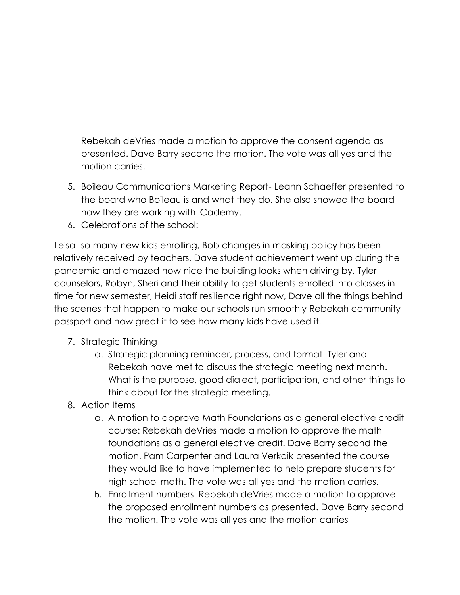Rebekah deVries made a motion to approve the consent agenda as presented. Dave Barry second the motion. The vote was all yes and the motion carries.

- 5. Boileau Communications Marketing Report- Leann Schaeffer presented to the board who Boileau is and what they do. She also showed the board how they are working with iCademy.
- 6. Celebrations of the school:

Leisa- so many new kids enrolling, Bob changes in masking policy has been relatively received by teachers, Dave student achievement went up during the pandemic and amazed how nice the building looks when driving by, Tyler counselors, Robyn, Sheri and their ability to get students enrolled into classes in time for new semester, Heidi staff resilience right now, Dave all the things behind the scenes that happen to make our schools run smoothly Rebekah community passport and how great it to see how many kids have used it.

- 7. Strategic Thinking
	- a. Strategic planning reminder, process, and format: Tyler and Rebekah have met to discuss the strategic meeting next month. What is the purpose, good dialect, participation, and other things to think about for the strategic meeting.
- 8. Action Items
	- a. A motion to approve Math Foundations as a general elective credit course: Rebekah deVries made a motion to approve the math foundations as a general elective credit. Dave Barry second the motion. Pam Carpenter and Laura Verkaik presented the course they would like to have implemented to help prepare students for high school math. The vote was all yes and the motion carries.
	- b. Enrollment numbers: Rebekah deVries made a motion to approve the proposed enrollment numbers as presented. Dave Barry second the motion. The vote was all yes and the motion carries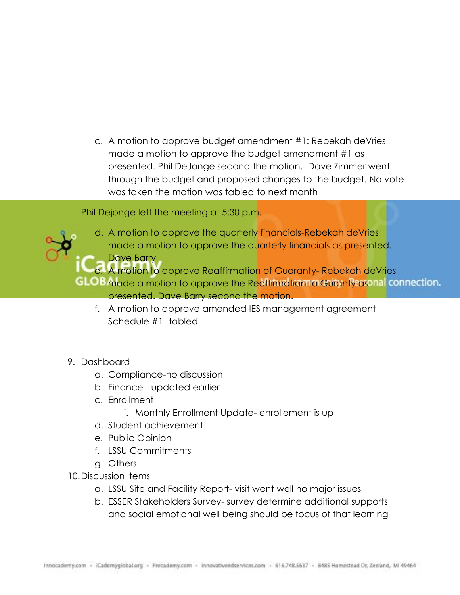c. A motion to approve budget amendment #1: Rebekah deVries made a motion to approve the budget amendment #1 as presented. Phil DeJonge second the motion. Dave Zimmer went through the budget and proposed changes to the budget. No vote was taken the motion was tabled to next month

Phil Dejonge left the meeting at 5:30 p.m.

d. A motion to approve the quarterly financials-Rebekah deVries made a motion to approve the quarterly financials as presented. Dave Barry e. A motion to approve Reaffirmation of Guaranty- Rebekah deVries

GLOB made a motion to approve the Reaffirmation to Guranty asonal connection.

- presented. Dave Barry second the motion.
- f. A motion to approve amended IES management agreement Schedule #1- tabled
- 9. Dashboard
	- a. Compliance-no discussion
	- b. Finance updated earlier
	- c. Enrollment
		- i. Monthly Enrollment Update- enrollement is up
	- d. Student achievement
	- e. Public Opinion
	- f. LSSU Commitments
	- g. Others
- 10.Discussion Items
	- a. LSSU Site and Facility Report- visit went well no major issues
	- b. ESSER Stakeholders Survey- survey determine additional supports and social emotional well being should be focus of that learning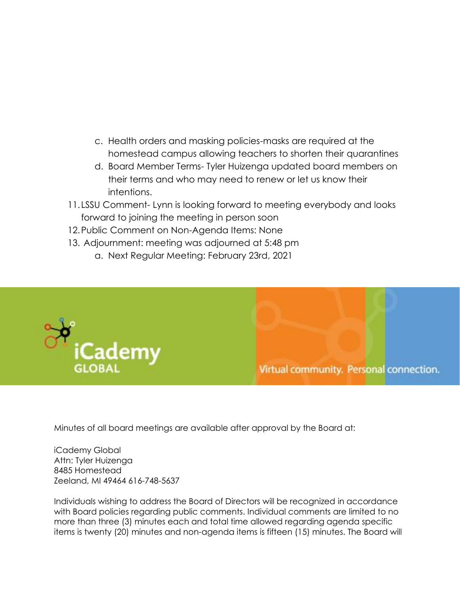- c. Health orders and masking policies-masks are required at the homestead campus allowing teachers to shorten their quarantines
- d. Board Member Terms- Tyler Huizenga updated board members on their terms and who may need to renew or let us know their intentions.
- 11. LSSU Comment- Lynn is looking forward to meeting everybody and looks forward to joining the meeting in person soon
- 12.Public Comment on Non-Agenda Items: None
- 13. Adjournment: meeting was adjourned at 5:48 pm a. Next Regular Meeting: February 23rd, 2021





Minutes of all board meetings are available after approval by the Board at:

iCademy Global Attn: Tyler Huizenga 8485 Homestead Zeeland, MI 49464 616-748-5637

Individuals wishing to address the Board of Directors will be recognized in accordance with Board policies regarding public comments. Individual comments are limited to no more than three (3) minutes each and total time allowed regarding agenda specific items is twenty (20) minutes and non-agenda items is fifteen (15) minutes. The Board will